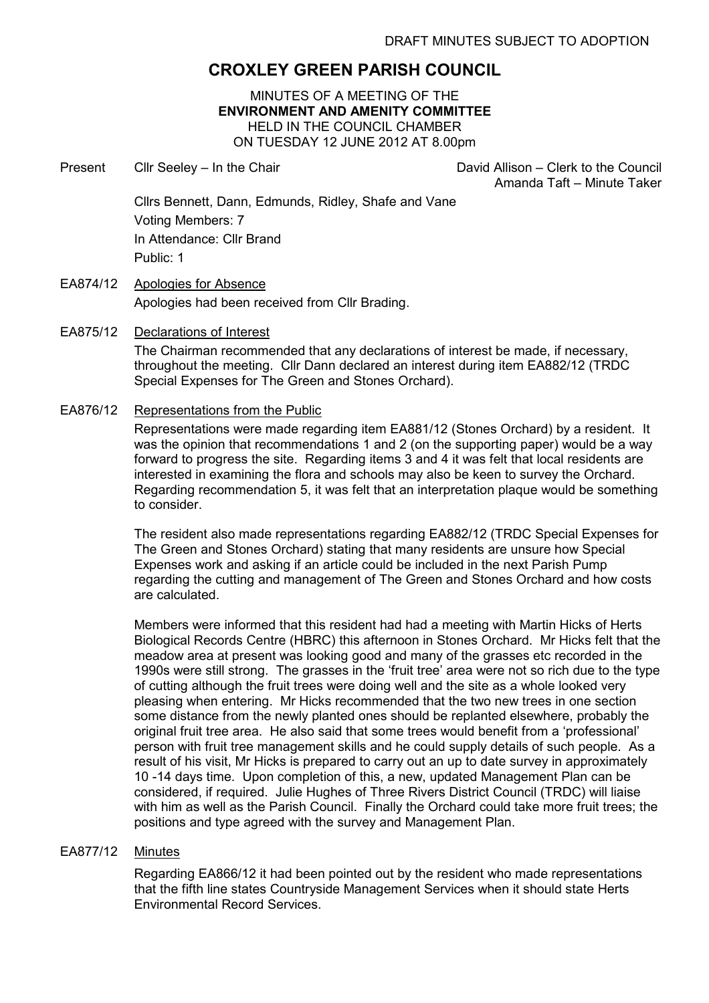# CROXLEY GREEN PARISH COUNCIL

MINUTES OF A MEETING OF THE ENVIRONMENT AND AMENITY COMMITTEE HELD IN THE COUNCIL CHAMBER ON TUESDAY 12 JUNE 2012 AT 8.00pm

Present Cllr Seeley – In the Chair Chair David Allison – Clerk to the Council

Amanda Taft – Minute Taker

Cllrs Bennett, Dann, Edmunds, Ridley, Shafe and Vane Voting Members: 7 In Attendance: Cllr Brand Public: 1

EA874/12 Apologies for Absence Apologies had been received from Cllr Brading.

#### EA875/12 Declarations of Interest

The Chairman recommended that any declarations of interest be made, if necessary, throughout the meeting. Cllr Dann declared an interest during item EA882/12 (TRDC Special Expenses for The Green and Stones Orchard).

### EA876/12 Representations from the Public

Representations were made regarding item EA881/12 (Stones Orchard) by a resident. It was the opinion that recommendations 1 and 2 (on the supporting paper) would be a way forward to progress the site. Regarding items 3 and 4 it was felt that local residents are interested in examining the flora and schools may also be keen to survey the Orchard. Regarding recommendation 5, it was felt that an interpretation plaque would be something to consider.

The resident also made representations regarding EA882/12 (TRDC Special Expenses for The Green and Stones Orchard) stating that many residents are unsure how Special Expenses work and asking if an article could be included in the next Parish Pump regarding the cutting and management of The Green and Stones Orchard and how costs are calculated.

Members were informed that this resident had had a meeting with Martin Hicks of Herts Biological Records Centre (HBRC) this afternoon in Stones Orchard. Mr Hicks felt that the meadow area at present was looking good and many of the grasses etc recorded in the 1990s were still strong. The grasses in the 'fruit tree' area were not so rich due to the type of cutting although the fruit trees were doing well and the site as a whole looked very pleasing when entering. Mr Hicks recommended that the two new trees in one section some distance from the newly planted ones should be replanted elsewhere, probably the original fruit tree area. He also said that some trees would benefit from a 'professional' person with fruit tree management skills and he could supply details of such people. As a result of his visit, Mr Hicks is prepared to carry out an up to date survey in approximately 10 -14 days time. Upon completion of this, a new, updated Management Plan can be considered, if required. Julie Hughes of Three Rivers District Council (TRDC) will liaise with him as well as the Parish Council. Finally the Orchard could take more fruit trees; the positions and type agreed with the survey and Management Plan.

#### EA877/12 Minutes

Regarding EA866/12 it had been pointed out by the resident who made representations that the fifth line states Countryside Management Services when it should state Herts Environmental Record Services.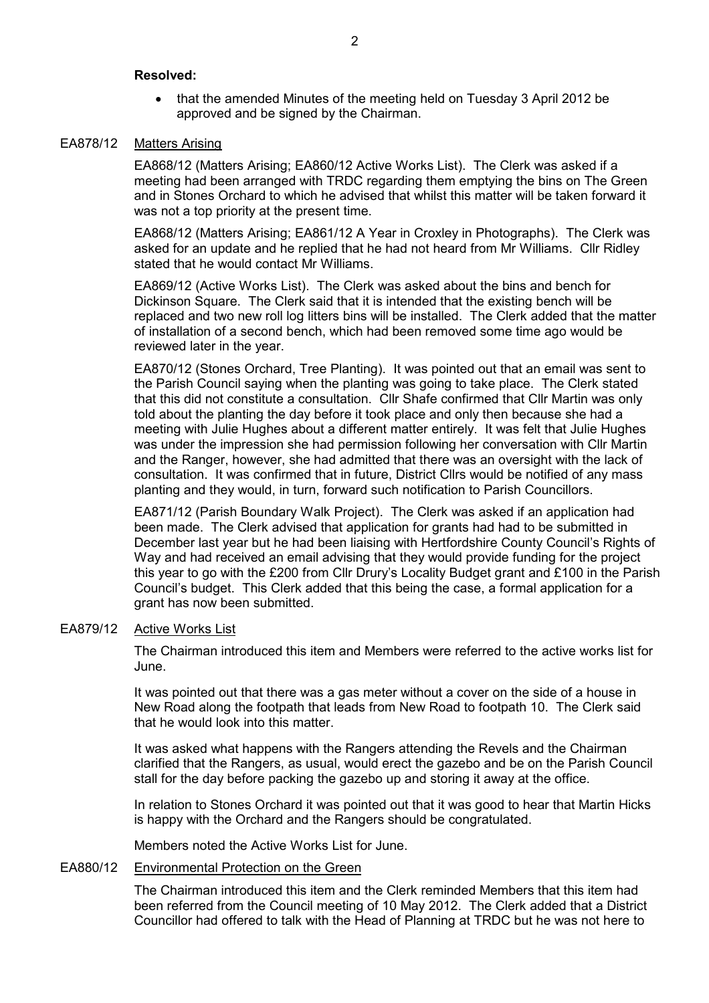#### Resolved:

• that the amended Minutes of the meeting held on Tuesday 3 April 2012 be approved and be signed by the Chairman.

### EA878/12 Matters Arising

EA868/12 (Matters Arising; EA860/12 Active Works List). The Clerk was asked if a meeting had been arranged with TRDC regarding them emptying the bins on The Green and in Stones Orchard to which he advised that whilst this matter will be taken forward it was not a top priority at the present time.

EA868/12 (Matters Arising; EA861/12 A Year in Croxley in Photographs). The Clerk was asked for an update and he replied that he had not heard from Mr Williams. Cllr Ridley stated that he would contact Mr Williams.

EA869/12 (Active Works List). The Clerk was asked about the bins and bench for Dickinson Square. The Clerk said that it is intended that the existing bench will be replaced and two new roll log litters bins will be installed. The Clerk added that the matter of installation of a second bench, which had been removed some time ago would be reviewed later in the year.

EA870/12 (Stones Orchard, Tree Planting). It was pointed out that an email was sent to the Parish Council saying when the planting was going to take place. The Clerk stated that this did not constitute a consultation. Cllr Shafe confirmed that Cllr Martin was only told about the planting the day before it took place and only then because she had a meeting with Julie Hughes about a different matter entirely. It was felt that Julie Hughes was under the impression she had permission following her conversation with Cllr Martin and the Ranger, however, she had admitted that there was an oversight with the lack of consultation. It was confirmed that in future, District Cllrs would be notified of any mass planting and they would, in turn, forward such notification to Parish Councillors.

EA871/12 (Parish Boundary Walk Project). The Clerk was asked if an application had been made. The Clerk advised that application for grants had had to be submitted in December last year but he had been liaising with Hertfordshire County Council's Rights of Way and had received an email advising that they would provide funding for the project this year to go with the £200 from Cllr Drury's Locality Budget grant and £100 in the Parish Council's budget. This Clerk added that this being the case, a formal application for a grant has now been submitted.

#### EA879/12 Active Works List

The Chairman introduced this item and Members were referred to the active works list for June.

It was pointed out that there was a gas meter without a cover on the side of a house in New Road along the footpath that leads from New Road to footpath 10. The Clerk said that he would look into this matter.

It was asked what happens with the Rangers attending the Revels and the Chairman clarified that the Rangers, as usual, would erect the gazebo and be on the Parish Council stall for the day before packing the gazebo up and storing it away at the office.

In relation to Stones Orchard it was pointed out that it was good to hear that Martin Hicks is happy with the Orchard and the Rangers should be congratulated.

Members noted the Active Works List for June.

### EA880/12 Environmental Protection on the Green

The Chairman introduced this item and the Clerk reminded Members that this item had been referred from the Council meeting of 10 May 2012. The Clerk added that a District Councillor had offered to talk with the Head of Planning at TRDC but he was not here to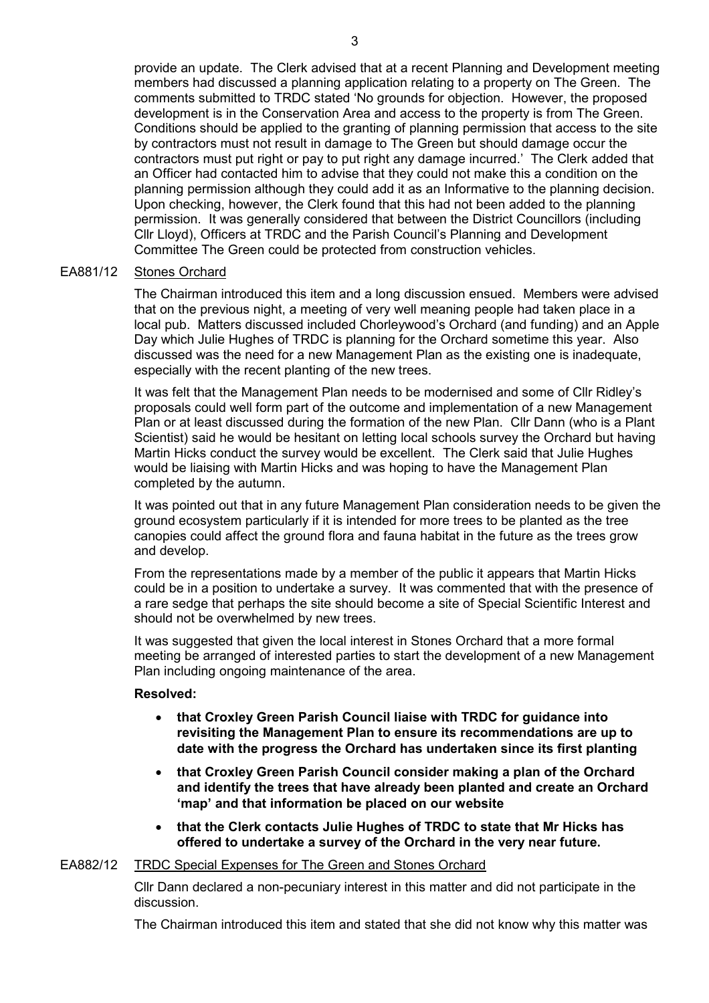provide an update. The Clerk advised that at a recent Planning and Development meeting members had discussed a planning application relating to a property on The Green. The comments submitted to TRDC stated 'No grounds for objection. However, the proposed development is in the Conservation Area and access to the property is from The Green. Conditions should be applied to the granting of planning permission that access to the site by contractors must not result in damage to The Green but should damage occur the contractors must put right or pay to put right any damage incurred.' The Clerk added that an Officer had contacted him to advise that they could not make this a condition on the planning permission although they could add it as an Informative to the planning decision. Upon checking, however, the Clerk found that this had not been added to the planning permission. It was generally considered that between the District Councillors (including Cllr Lloyd), Officers at TRDC and the Parish Council's Planning and Development Committee The Green could be protected from construction vehicles.

#### EA881/12 Stones Orchard

The Chairman introduced this item and a long discussion ensued. Members were advised that on the previous night, a meeting of very well meaning people had taken place in a local pub. Matters discussed included Chorleywood's Orchard (and funding) and an Apple Day which Julie Hughes of TRDC is planning for the Orchard sometime this year. Also discussed was the need for a new Management Plan as the existing one is inadequate, especially with the recent planting of the new trees.

It was felt that the Management Plan needs to be modernised and some of Cllr Ridley's proposals could well form part of the outcome and implementation of a new Management Plan or at least discussed during the formation of the new Plan. Cllr Dann (who is a Plant Scientist) said he would be hesitant on letting local schools survey the Orchard but having Martin Hicks conduct the survey would be excellent. The Clerk said that Julie Hughes would be liaising with Martin Hicks and was hoping to have the Management Plan completed by the autumn.

It was pointed out that in any future Management Plan consideration needs to be given the ground ecosystem particularly if it is intended for more trees to be planted as the tree canopies could affect the ground flora and fauna habitat in the future as the trees grow and develop.

From the representations made by a member of the public it appears that Martin Hicks could be in a position to undertake a survey. It was commented that with the presence of a rare sedge that perhaps the site should become a site of Special Scientific Interest and should not be overwhelmed by new trees.

It was suggested that given the local interest in Stones Orchard that a more formal meeting be arranged of interested parties to start the development of a new Management Plan including ongoing maintenance of the area.

#### Resolved:

- that Croxley Green Parish Council liaise with TRDC for guidance into revisiting the Management Plan to ensure its recommendations are up to date with the progress the Orchard has undertaken since its first planting
- that Croxley Green Parish Council consider making a plan of the Orchard and identify the trees that have already been planted and create an Orchard 'map' and that information be placed on our website
- that the Clerk contacts Julie Hughes of TRDC to state that Mr Hicks has offered to undertake a survey of the Orchard in the very near future.

### EA882/12 TRDC Special Expenses for The Green and Stones Orchard

Cllr Dann declared a non-pecuniary interest in this matter and did not participate in the discussion.

The Chairman introduced this item and stated that she did not know why this matter was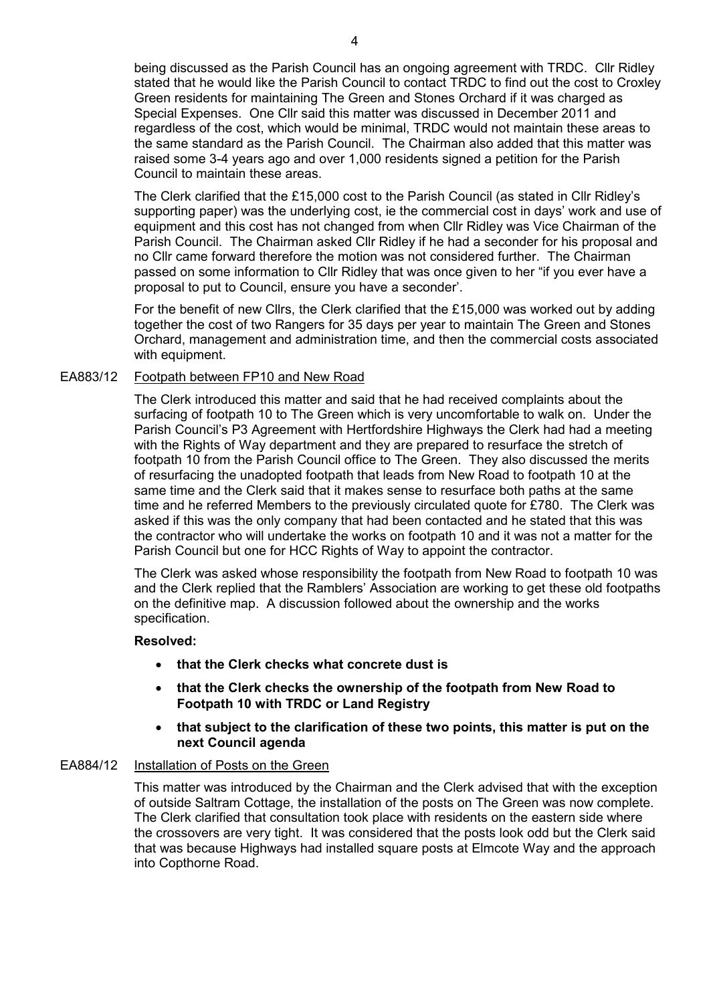being discussed as the Parish Council has an ongoing agreement with TRDC. Cllr Ridley stated that he would like the Parish Council to contact TRDC to find out the cost to Croxley Green residents for maintaining The Green and Stones Orchard if it was charged as Special Expenses. One Cllr said this matter was discussed in December 2011 and regardless of the cost, which would be minimal, TRDC would not maintain these areas to the same standard as the Parish Council. The Chairman also added that this matter was raised some 3-4 years ago and over 1,000 residents signed a petition for the Parish Council to maintain these areas.

The Clerk clarified that the £15,000 cost to the Parish Council (as stated in Cllr Ridley's supporting paper) was the underlying cost, ie the commercial cost in days' work and use of equipment and this cost has not changed from when Cllr Ridley was Vice Chairman of the Parish Council. The Chairman asked Cllr Ridley if he had a seconder for his proposal and no Cllr came forward therefore the motion was not considered further. The Chairman passed on some information to Cllr Ridley that was once given to her "if you ever have a proposal to put to Council, ensure you have a seconder'.

For the benefit of new Cllrs, the Clerk clarified that the £15,000 was worked out by adding together the cost of two Rangers for 35 days per year to maintain The Green and Stones Orchard, management and administration time, and then the commercial costs associated with equipment.

#### EA883/12 Footpath between FP10 and New Road

The Clerk introduced this matter and said that he had received complaints about the surfacing of footpath 10 to The Green which is very uncomfortable to walk on. Under the Parish Council's P3 Agreement with Hertfordshire Highways the Clerk had had a meeting with the Rights of Way department and they are prepared to resurface the stretch of footpath 10 from the Parish Council office to The Green. They also discussed the merits of resurfacing the unadopted footpath that leads from New Road to footpath 10 at the same time and the Clerk said that it makes sense to resurface both paths at the same time and he referred Members to the previously circulated quote for £780. The Clerk was asked if this was the only company that had been contacted and he stated that this was the contractor who will undertake the works on footpath 10 and it was not a matter for the Parish Council but one for HCC Rights of Way to appoint the contractor.

The Clerk was asked whose responsibility the footpath from New Road to footpath 10 was and the Clerk replied that the Ramblers' Association are working to get these old footpaths on the definitive map. A discussion followed about the ownership and the works specification.

#### Resolved:

- that the Clerk checks what concrete dust is
- that the Clerk checks the ownership of the footpath from New Road to Footpath 10 with TRDC or Land Registry
- that subject to the clarification of these two points, this matter is put on the next Council agenda

#### EA884/12 Installation of Posts on the Green

This matter was introduced by the Chairman and the Clerk advised that with the exception of outside Saltram Cottage, the installation of the posts on The Green was now complete. The Clerk clarified that consultation took place with residents on the eastern side where the crossovers are very tight. It was considered that the posts look odd but the Clerk said that was because Highways had installed square posts at Elmcote Way and the approach into Copthorne Road.